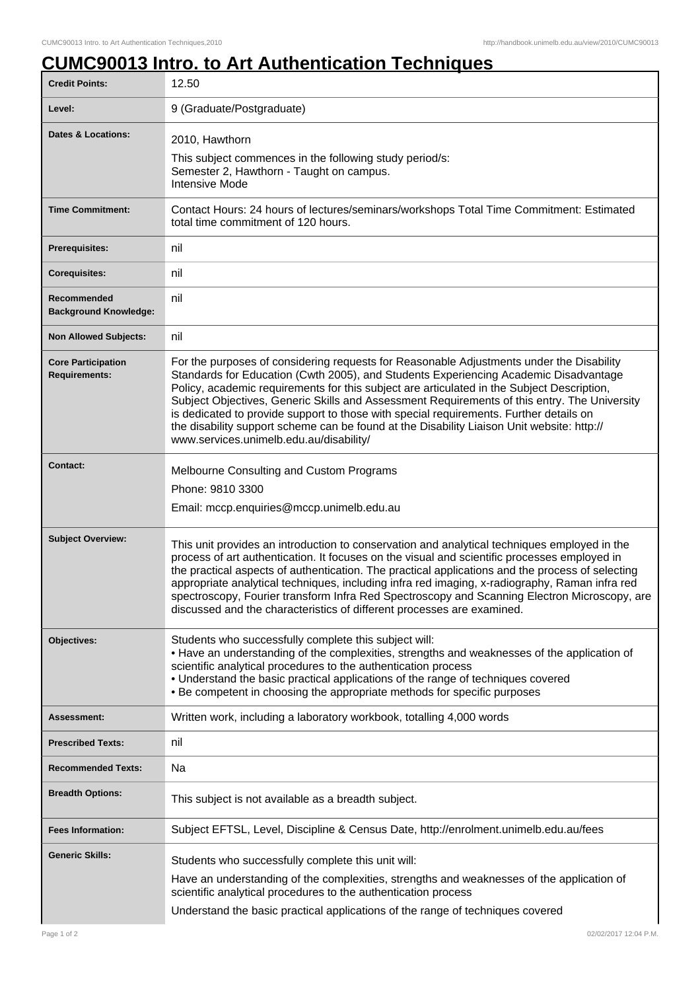## **CUMC90013 Intro. to Art Authentication Techniques**

| <b>Credit Points:</b>                             | 12.50                                                                                                                                                                                                                                                                                                                                                                                                                                                                                                                                                                                                             |
|---------------------------------------------------|-------------------------------------------------------------------------------------------------------------------------------------------------------------------------------------------------------------------------------------------------------------------------------------------------------------------------------------------------------------------------------------------------------------------------------------------------------------------------------------------------------------------------------------------------------------------------------------------------------------------|
| Level:                                            | 9 (Graduate/Postgraduate)                                                                                                                                                                                                                                                                                                                                                                                                                                                                                                                                                                                         |
| <b>Dates &amp; Locations:</b>                     | 2010, Hawthorn<br>This subject commences in the following study period/s:<br>Semester 2, Hawthorn - Taught on campus.<br><b>Intensive Mode</b>                                                                                                                                                                                                                                                                                                                                                                                                                                                                    |
| <b>Time Commitment:</b>                           | Contact Hours: 24 hours of lectures/seminars/workshops Total Time Commitment: Estimated<br>total time commitment of 120 hours.                                                                                                                                                                                                                                                                                                                                                                                                                                                                                    |
| <b>Prerequisites:</b>                             | nil                                                                                                                                                                                                                                                                                                                                                                                                                                                                                                                                                                                                               |
| <b>Corequisites:</b>                              | nil                                                                                                                                                                                                                                                                                                                                                                                                                                                                                                                                                                                                               |
| Recommended<br><b>Background Knowledge:</b>       | nil                                                                                                                                                                                                                                                                                                                                                                                                                                                                                                                                                                                                               |
| <b>Non Allowed Subjects:</b>                      | nil                                                                                                                                                                                                                                                                                                                                                                                                                                                                                                                                                                                                               |
| <b>Core Participation</b><br><b>Requirements:</b> | For the purposes of considering requests for Reasonable Adjustments under the Disability<br>Standards for Education (Cwth 2005), and Students Experiencing Academic Disadvantage<br>Policy, academic requirements for this subject are articulated in the Subject Description,<br>Subject Objectives, Generic Skills and Assessment Requirements of this entry. The University<br>is dedicated to provide support to those with special requirements. Further details on<br>the disability support scheme can be found at the Disability Liaison Unit website: http://<br>www.services.unimelb.edu.au/disability/ |
| <b>Contact:</b>                                   | Melbourne Consulting and Custom Programs<br>Phone: 9810 3300<br>Email: mccp.enquiries@mccp.unimelb.edu.au                                                                                                                                                                                                                                                                                                                                                                                                                                                                                                         |
| <b>Subject Overview:</b>                          | This unit provides an introduction to conservation and analytical techniques employed in the<br>process of art authentication. It focuses on the visual and scientific processes employed in<br>the practical aspects of authentication. The practical applications and the process of selecting<br>appropriate analytical techniques, including infra red imaging, x-radiography, Raman infra red<br>spectroscopy, Fourier transform Infra Red Spectroscopy and Scanning Electron Microscopy, are<br>discussed and the characteristics of different processes are examined.                                      |
| Objectives:                                       | Students who successfully complete this subject will:<br>• Have an understanding of the complexities, strengths and weaknesses of the application of<br>scientific analytical procedures to the authentication process<br>• Understand the basic practical applications of the range of techniques covered<br>• Be competent in choosing the appropriate methods for specific purposes                                                                                                                                                                                                                            |
| <b>Assessment:</b>                                | Written work, including a laboratory workbook, totalling 4,000 words                                                                                                                                                                                                                                                                                                                                                                                                                                                                                                                                              |
| <b>Prescribed Texts:</b>                          | nil                                                                                                                                                                                                                                                                                                                                                                                                                                                                                                                                                                                                               |
| <b>Recommended Texts:</b>                         | Na                                                                                                                                                                                                                                                                                                                                                                                                                                                                                                                                                                                                                |
| <b>Breadth Options:</b>                           | This subject is not available as a breadth subject.                                                                                                                                                                                                                                                                                                                                                                                                                                                                                                                                                               |
| <b>Fees Information:</b>                          | Subject EFTSL, Level, Discipline & Census Date, http://enrolment.unimelb.edu.au/fees                                                                                                                                                                                                                                                                                                                                                                                                                                                                                                                              |
| <b>Generic Skills:</b>                            | Students who successfully complete this unit will:<br>Have an understanding of the complexities, strengths and weaknesses of the application of<br>scientific analytical procedures to the authentication process<br>Understand the basic practical applications of the range of techniques covered                                                                                                                                                                                                                                                                                                               |